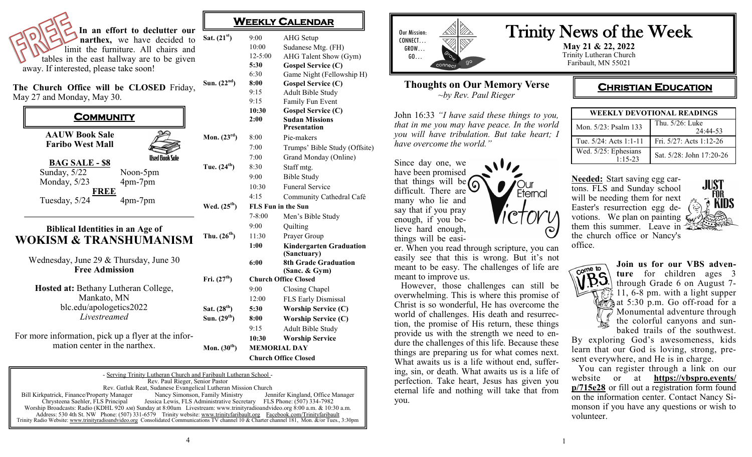|                                                                                                                                                                                             | WEE                            |                                                |
|---------------------------------------------------------------------------------------------------------------------------------------------------------------------------------------------|--------------------------------|------------------------------------------------|
| In an effort to declutter our<br>narthex, we have decided to<br>limit the furniture. All chairs and<br>tables in the east hallway are to be given<br>away. If interested, please take soon! | Sat. $(21^{st})$               | 9:<br>1 <sub>0</sub><br>12<br>5:<br>6:         |
| The Church Office will be CLOSED Friday,<br>May 27 and Monday, May 30.<br><b>COMMUNITY</b>                                                                                                  | Sun. $(22nd)$                  | 8:<br>9:<br>9:<br>$\overline{10}$<br>2:        |
| <b>AAUW Book Sale</b><br><b>Faribo West Mall</b><br><b>Ilsed Book Sole</b>                                                                                                                  | Mon. $(23rd)$                  | 8:<br>7:<br>7:                                 |
| <b>BAG SALE - \$8</b><br>Sunday, 5/22<br>Noon-5pm<br>Monday, 5/23<br>4pm-7pm<br>FREE                                                                                                        | Tue. $(24^{th})$               | 8:<br>9:<br>1 <sub>0</sub><br>4:               |
| Tuesday, 5/24<br>4pm-7pm<br><b>Biblical Identities in an Age of</b><br><b>WOKISM &amp; TRANSHUMANISM</b>                                                                                    | Wed. $(25th)$<br>Thu. $(26th)$ | $\bf{F}$<br>$7-$<br>9:<br>11                   |
| Wednesday, June 29 & Thursday, June 30<br><b>Free Admission</b>                                                                                                                             | Fri. $(27th)$                  | 1:<br>6:<br>$\mathbf C$                        |
| Hosted at: Bethany Lutheran College,<br>Mankato, MN<br>blc.edu/apologetics2022<br>Livestreamed                                                                                              | Sat. $(28th)$                  | 9:<br>12<br>5:                                 |
| For more information, pick up a flyer at the infor-<br>mation center in the narthex.                                                                                                        | Sun. $(29th)$<br>Mon. $(30th)$ | 8:<br>9:<br>1 <sub>1</sub><br>M<br>$\mathbf C$ |

## **WEEKLY CALENDAR**

| Sat. $(21st)$            | 9:00                        | <b>AHG</b> Setup                              |  |
|--------------------------|-----------------------------|-----------------------------------------------|--|
|                          | 10:00                       | Sudanese Mtg. (FH)                            |  |
|                          | $12 - 5:00$                 | AHG Talent Show (Gym)                         |  |
|                          | 5:30                        | <b>Gospel Service (C)</b>                     |  |
|                          | 6:30                        | Game Night (Fellowship H)                     |  |
| Sun. $(22nd)$            | 8:00                        | <b>Gospel Service (C)</b>                     |  |
|                          | 9:15                        | Adult Bible Study                             |  |
|                          | 9:15                        | Family Fun Event                              |  |
|                          | 10:30                       | <b>Gospel Service (C)</b>                     |  |
|                          | 2:00                        | <b>Sudan Missions</b><br><b>Presentation</b>  |  |
| Mon. $(23^{\text{rd}})$  | 8:00                        | Pie-makers                                    |  |
|                          | 7:00                        | Trumps' Bible Study (Offsite)                 |  |
|                          | 7:00                        | Grand Monday (Online)                         |  |
| Tue. (24 <sup>th</sup> ) | 8:30                        | Staff mtg.                                    |  |
|                          | 9:00                        | <b>Bible Study</b>                            |  |
|                          | 10:30                       | <b>Funeral Service</b>                        |  |
|                          | 4:15                        | Community Cathedral Café                      |  |
| Wed. $(25^{th})$         | <b>FLS Fun in the Sun</b>   |                                               |  |
|                          | $7 - 8:00$                  | Men's Bible Study                             |  |
|                          | 9:00                        | Quilting                                      |  |
| Thu. (26 <sup>th</sup> ) | 11:30                       | Prayer Group                                  |  |
|                          | 1:00                        | <b>Kindergarten Graduation</b><br>(Sanctuary) |  |
|                          | 6:00                        | <b>8th Grade Graduation</b>                   |  |
|                          |                             | (Sanc. & Gym)                                 |  |
| Fri. (27 <sup>th</sup> ) | <b>Church Office Closed</b> |                                               |  |
|                          | 9:00                        | Closing Chapel                                |  |
|                          | 12:00                       | FLS Early Dismissal                           |  |
| Sat. (28 <sup>th</sup> ) | 5:30                        | <b>Worship Service (C)</b>                    |  |
| Sun. (29 <sup>th</sup> ) | 8:00                        | <b>Worship Service (C)</b>                    |  |
|                          | 9:15                        | Adult Bible Study                             |  |
|                          | 10:30                       | <b>Worship Service</b>                        |  |
| Mon. $(30th)$            |                             | <b>MEMORIAL DAY</b>                           |  |
|                          | <b>Church Office Closed</b> |                                               |  |



## **Thoughts on Our Memory Verse** *~by Rev. Paul Rieger*

John 16:33 *"I have said these things to you, that in me you may have peace. In the world you will have tribulation. But take heart; I have overcome the world."*

Our !

Eternal

Since day one, we have been promised that things will be  $\sqrt{\zeta}$ difficult. There are many who lie and say that if you pray enough, if you believe hard enough, things will be easi-

er. When you read through scripture, you can easily see that this is wrong. But it's not meant to be easy. The challenges of life are meant to improve us.

 However, those challenges can still be overwhelming. This is where this promise of Christ is so wonderful, He has overcome the world of challenges. His death and resurrection, the promise of His return, these things provide us with the strength we need to endure the challenges of this life. Because these things are preparing us for what comes next. What awaits us is a life without end, suffering, sin, or death. What awaits us is a life of perfection. Take heart, Jesus has given you eternal life and nothing will take that from you.

# Trinity News of the Week

**May 21 & 22, 2022** Trinity Lutheran Church Faribault, MN 55021

# **CHRISTIAN EDUCATION**

| WEEKLY DEVOTIONAL READINGS          |                             |  |
|-------------------------------------|-----------------------------|--|
| Mon. 5/23: Psalm 133                | Thu. 5/26: Luke<br>24:44-53 |  |
| Tue. $5/24$ : Acts 1:1-11           | Fri. 5/27: Acts 1:12-26     |  |
| Wed. 5/25: Ephesians<br>$1.15 - 23$ | Sat. 5/28: John 17:20-26    |  |





**ture** for children ages 3 through Grade 6 on August 7- 11, 6-8 pm. with a light supper at 5:30 p.m. Go off-road for a Monumental adventure through the colorful canyons and sunbaked trails of the southwest.

JUST.

**KIDS** 

By exploring God's awesomeness, kids learn that our God is loving, strong, present everywhere, and He is in charge.

 You can register through a link on our website or at **[https://vbspro.events/](https://vbspro.events/p/715e28) [p/715e28](https://vbspro.events/p/715e28)** or fill out a registration form found on the information center. Contact Nancy Simonson if you have any questions or wish to volunteer.